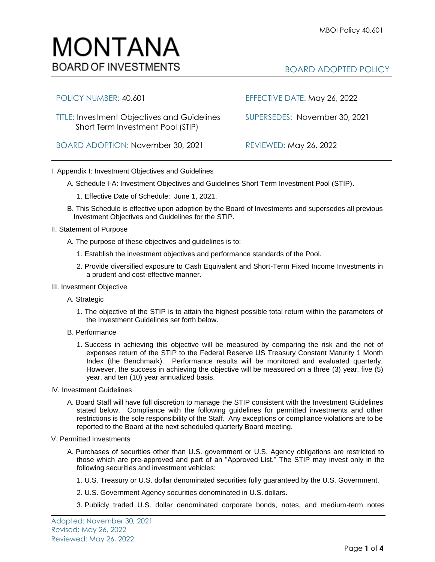## MONTANA **BOARD OF INVESTMENTS**

## BOARD ADOPTED POLICY

| POLICY NUMBER: 40.601                                                                   | EFFECTIVE DATE: May 26, 2022  |
|-----------------------------------------------------------------------------------------|-------------------------------|
| <b>TITLE: Investment Objectives and Guidelines</b><br>Short Term Investment Pool (STIP) | SUPERSEDES: November 30, 2021 |
| BOARD ADOPTION: November 30, 2021                                                       | <b>REVIEWED: May 26, 2022</b> |

## I. Appendix I: Investment Objectives and Guidelines

- A. Schedule I-A: Investment Objectives and Guidelines Short Term Investment Pool (STIP).
	- 1. Effective Date of Schedule: June 1, 2021.
- B. This Schedule is effective upon adoption by the Board of Investments and supersedes all previous Investment Objectives and Guidelines for the STIP.
- II. Statement of Purpose
	- A. The purpose of these objectives and guidelines is to:
		- 1. Establish the investment objectives and performance standards of the Pool.
		- 2. Provide diversified exposure to Cash Equivalent and Short-Term Fixed Income Investments in a prudent and cost-effective manner.
- III. Investment Objective
	- A. Strategic
		- 1. The objective of the STIP is to attain the highest possible total return within the parameters of the Investment Guidelines set forth below.
	- B. Performance
		- 1. Success in achieving this objective will be measured by comparing the risk and the net of expenses return of the STIP to the Federal Reserve US Treasury Constant Maturity 1 Month Index (the Benchmark). Performance results will be monitored and evaluated quarterly. However, the success in achieving the objective will be measured on a three (3) year, five (5) year, and ten (10) year annualized basis.
- IV. Investment Guidelines
	- A. Board Staff will have full discretion to manage the STIP consistent with the Investment Guidelines stated below. Compliance with the following guidelines for permitted investments and other restrictions is the sole responsibility of the Staff. Any exceptions or compliance violations are to be reported to the Board at the next scheduled quarterly Board meeting.
- V. Permitted Investments
	- A. Purchases of securities other than U.S. government or U.S. Agency obligations are restricted to those which are pre-approved and part of an "Approved List." The STIP may invest only in the following securities and investment vehicles:
		- 1. U.S. Treasury or U.S. dollar denominated securities fully guaranteed by the U.S. Government.
		- 2. U.S. Government Agency securities denominated in U.S. dollars.
		- 3. Publicly traded U.S. dollar denominated corporate bonds, notes, and medium-term notes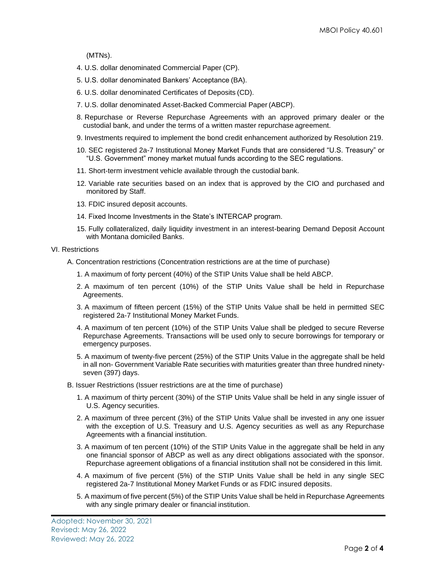(MTNs).

- 4. U.S. dollar denominated Commercial Paper (CP).
- 5. U.S. dollar denominated Bankers' Acceptance (BA).
- 6. U.S. dollar denominated Certificates of Deposits (CD).
- 7. U.S. dollar denominated Asset-Backed Commercial Paper (ABCP).
- 8. Repurchase or Reverse Repurchase Agreements with an approved primary dealer or the custodial bank, and under the terms of a written master repurchase agreement.
- 9. Investments required to implement the bond credit enhancement authorized by Resolution 219.
- 10. SEC registered 2a-7 Institutional Money Market Funds that are considered "U.S. Treasury" or "U.S. Government" money market mutual funds according to the SEC regulations.
- 11. Short-term investment vehicle available through the custodial bank.
- 12. Variable rate securities based on an index that is approved by the CIO and purchased and monitored by Staff.
- 13. FDIC insured deposit accounts.
- 14. Fixed Income Investments in the State's INTERCAP program.
- 15. Fully collateralized, daily liquidity investment in an interest-bearing Demand Deposit Account with Montana domiciled Banks.

VI. Restrictions

- A. Concentration restrictions (Concentration restrictions are at the time of purchase)
	- 1. A maximum of forty percent (40%) of the STIP Units Value shall be held ABCP.
	- 2. A maximum of ten percent (10%) of the STIP Units Value shall be held in Repurchase Agreements.
	- 3. A maximum of fifteen percent (15%) of the STIP Units Value shall be held in permitted SEC registered 2a-7 Institutional Money Market Funds.
	- 4. A maximum of ten percent (10%) of the STIP Units Value shall be pledged to secure Reverse Repurchase Agreements. Transactions will be used only to secure borrowings for temporary or emergency purposes.
	- 5. A maximum of twenty-five percent (25%) of the STIP Units Value in the aggregate shall be held in all non- Government Variable Rate securities with maturities greater than three hundred ninetyseven (397) days.
- B. Issuer Restrictions (Issuer restrictions are at the time of purchase)
	- 1. A maximum of thirty percent (30%) of the STIP Units Value shall be held in any single issuer of U.S. Agency securities.
	- 2. A maximum of three percent (3%) of the STIP Units Value shall be invested in any one issuer with the exception of U.S. Treasury and U.S. Agency securities as well as any Repurchase Agreements with a financial institution.
	- 3. A maximum of ten percent (10%) of the STIP Units Value in the aggregate shall be held in any one financial sponsor of ABCP as well as any direct obligations associated with the sponsor. Repurchase agreement obligations of a financial institution shall not be considered in this limit.
	- 4. A maximum of five percent (5%) of the STIP Units Value shall be held in any single SEC registered 2a-7 Institutional Money Market Funds or as FDIC insured deposits.
	- 5. A maximum of five percent (5%) of the STIP Units Value shall be held in Repurchase Agreements with any single primary dealer or financial institution.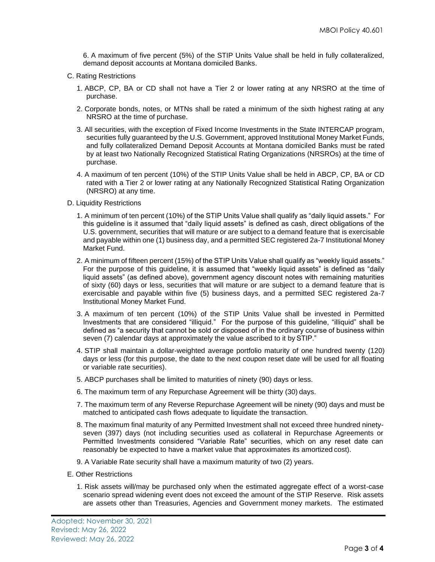6. A maximum of five percent (5%) of the STIP Units Value shall be held in fully collateralized, demand deposit accounts at Montana domiciled Banks.

- C. Rating Restrictions
	- 1. ABCP, CP, BA or CD shall not have a Tier 2 or lower rating at any NRSRO at the time of purchase.
	- 2. Corporate bonds, notes, or MTNs shall be rated a minimum of the sixth highest rating at any NRSRO at the time of purchase.
	- 3. All securities, with the exception of Fixed Income Investments in the State INTERCAP program, securities fully guaranteed by the U.S. Government, approved Institutional Money Market Funds, and fully collateralized Demand Deposit Accounts at Montana domiciled Banks must be rated by at least two Nationally Recognized Statistical Rating Organizations (NRSROs) at the time of purchase.
	- 4. A maximum of ten percent (10%) of the STIP Units Value shall be held in ABCP, CP, BA or CD rated with a Tier 2 or lower rating at any Nationally Recognized Statistical Rating Organization (NRSRO) at any time.
- D. Liquidity Restrictions
	- 1. A minimum of ten percent (10%) of the STIP Units Value shall qualify as "daily liquid assets." For this guideline is it assumed that "daily liquid assets" is defined as cash, direct obligations of the U.S. government, securities that will mature or are subject to a demand feature that is exercisable and payable within one (1) business day, and a permitted SEC registered 2a-7 Institutional Money Market Fund.
	- 2. A minimum of fifteen percent (15%) of the STIP Units Value shall qualify as "weekly liquid assets." For the purpose of this guideline, it is assumed that "weekly liquid assets" is defined as "daily liquid assets" (as defined above), government agency discount notes with remaining maturities of sixty (60) days or less, securities that will mature or are subject to a demand feature that is exercisable and payable within five (5) business days, and a permitted SEC registered 2a-7 Institutional Money Market Fund.
	- 3. A maximum of ten percent (10%) of the STIP Units Value shall be invested in Permitted Investments that are considered "illiquid." For the purpose of this guideline, "illiquid" shall be defined as "a security that cannot be sold or disposed of in the ordinary course of business within seven (7) calendar days at approximately the value ascribed to it by STIP."
	- 4. STIP shall maintain a dollar-weighted average portfolio maturity of one hundred twenty (120) days or less (for this purpose, the date to the next coupon reset date will be used for all floating or variable rate securities).
	- 5. ABCP purchases shall be limited to maturities of ninety (90) days or less.
	- 6. The maximum term of any Repurchase Agreement will be thirty (30) days.
	- 7. The maximum term of any Reverse Repurchase Agreement will be ninety (90) days and must be matched to anticipated cash flows adequate to liquidate the transaction.
	- 8. The maximum final maturity of any Permitted Investment shall not exceed three hundred ninetyseven (397) days (not including securities used as collateral in Repurchase Agreements or Permitted Investments considered "Variable Rate" securities, which on any reset date can reasonably be expected to have a market value that approximates its amortized cost).
	- 9. A Variable Rate security shall have a maximum maturity of two (2) years.
- E. Other Restrictions
	- 1. Risk assets will/may be purchased only when the estimated aggregate effect of a worst-case scenario spread widening event does not exceed the amount of the STIP Reserve. Risk assets are assets other than Treasuries, Agencies and Government money markets. The estimated